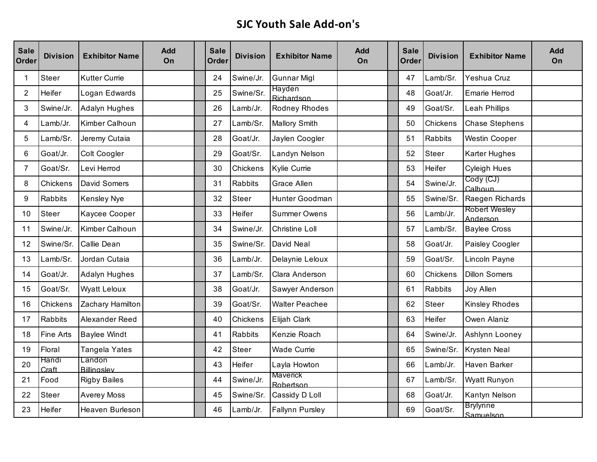## **SJC Youth Sale Add-on's**

| <b>Sale</b><br>Order | <b>Division</b> | <b>Exhibitor Name</b>        | <b>Add</b><br>On | <b>Sale</b><br><b>Order</b> | <b>Division</b> | <b>Exhibitor Name</b>  | <b>Add</b><br>On | <b>Sale</b><br><b>Order</b> | <b>Division</b> | <b>Exhibitor Name</b>        | <b>Add</b><br>On |
|----------------------|-----------------|------------------------------|------------------|-----------------------------|-----------------|------------------------|------------------|-----------------------------|-----------------|------------------------------|------------------|
| 1                    | <b>Steer</b>    | <b>Kutter Currie</b>         |                  | 24                          | Swine/Jr.       | <b>Gunnar Migl</b>     |                  | 47                          | Lamb/Sr.        | Yeshua Cruz                  |                  |
| $\overline{2}$       | Heifer          | Logan Edwards                |                  | 25                          | Swine/Sr.       | Hayden<br>Richardson   |                  | 48                          | Goat/Jr.        | Emarie Herrod                |                  |
| 3                    | Swine/Jr.       | Adalyn Hughes                |                  | 26                          | Lamb/Jr.        | Rodney Rhodes          |                  | 49                          | Goat/Sr.        | <b>Leah Phillips</b>         |                  |
| 4                    | Lamb/Jr.        | Kimber Calhoun               |                  | 27                          | Lamb/Sr.        | <b>Mallory Smith</b>   |                  | 50                          | Chickens        | <b>Chase Stephens</b>        |                  |
| 5                    | Lamb/Sr.        | Jeremy Cutaia                |                  | 28                          | Goat/Jr.        | Jaylen Coogler         |                  | 51                          | <b>Rabbits</b>  | <b>Westin Cooper</b>         |                  |
| 6                    | Goat/Jr.        | Colt Coogler                 |                  | 29                          | Goat/Sr.        | Landyn Nelson          |                  | 52                          | <b>Steer</b>    | Karter Hughes                |                  |
| $\overline{7}$       | Goat/Sr.        | Levi Herrod                  |                  | 30                          | Chickens        | Kylie Currie           |                  | 53                          | Heifer          | <b>Cyleigh Hues</b>          |                  |
| 8                    | Chickens        | David Somers                 |                  | 31                          | <b>Rabbits</b>  | Grace Allen            |                  | 54                          | Swine/Jr.       | Cody (CJ)<br>Calhoun         |                  |
| 9                    | Rabbits         | Kensley Nye                  |                  | 32                          | <b>Steer</b>    | Hunter Goodman         |                  | 55                          | Swine/Sr.       | Raegen Richards              |                  |
| 10                   | <b>Steer</b>    | Kaycee Cooper                |                  | 33                          | Heifer          | <b>Summer Owens</b>    |                  | 56                          | Lamb/Jr.        | Robert Wesley<br>Anderson    |                  |
| 11                   | Swine/Jr.       | Kimber Calhoun               |                  | 34                          | Swine/Jr.       | <b>Christine Loll</b>  |                  | 57                          | Lamb/Sr.        | <b>Baylee Cross</b>          |                  |
| 12                   | Swine/Sr.       | Callie Dean                  |                  | 35                          | Swine/Sr.       | David Neal             |                  | 58                          | Goat/Jr.        | Paisley Coogler              |                  |
| 13                   | Lamb/Sr.        | Jordan Cutaia                |                  | 36                          | Lamb/Jr.        | Delaynie Leloux        |                  | 59                          | Goat/Sr.        | Lincoln Payne                |                  |
| 14                   | Goat/Jr.        | Adalyn Hughes                |                  | 37                          | Lamb/Sr.        | Clara Anderson         |                  | 60                          | Chickens        | <b>Dillon Somers</b>         |                  |
| 15                   | Goat/Sr.        | <b>Wyatt Leloux</b>          |                  | 38                          | Goat/Jr.        | Sawyer Anderson        |                  | 61                          | <b>Rabbits</b>  | Joy Allen                    |                  |
| 16                   | Chickens        | Zachary Hamilton             |                  | 39                          | Goat/Sr.        | <b>Walter Peachee</b>  |                  | 62                          | <b>Steer</b>    | Kinsley Rhodes               |                  |
| 17                   | Rabbits         | Alexander Reed               |                  | 40                          | Chickens        | Elijah Clark           |                  | 63                          | Heifer          | Owen Alaniz                  |                  |
| 18                   | Fine Arts       | <b>Baylee Windt</b>          |                  | 41                          | Rabbits         | Kenzie Roach           |                  | 64                          | Swine/Jr.       | Ashlynn Looney               |                  |
| 19                   | Floral          | Tangela Yates                |                  | 42                          | Steer           | <b>Wade Currie</b>     |                  | 65                          | Swine/Sr.       | Krysten Neal                 |                  |
| 20                   | Handi<br>Craft  | Landon<br><b>Billinaslev</b> |                  | 43                          | Heifer          | Layla Howton           |                  | 66                          | Lamb/Jr.        | Haven Barker                 |                  |
| 21                   | Food            | <b>Rigby Bailes</b>          |                  | 44                          | Swine/Jr.       | Maverick<br>Robertson  |                  | 67                          | Lamb/Sr.        | Wyatt Runyon                 |                  |
| 22                   | <b>Steer</b>    | <b>Averey Moss</b>           |                  | 45                          | Swine/Sr.       | Cassidy D Loll         |                  | 68                          | Goat/Jr.        | Kantyn Nelson                |                  |
| 23                   | Heifer          | Heaven Burleson              |                  | 46                          | Lamb/Jr.        | <b>Fallynn Pursley</b> |                  | 69                          | Goat/Sr.        | <b>Brylynne</b><br>Samuelson |                  |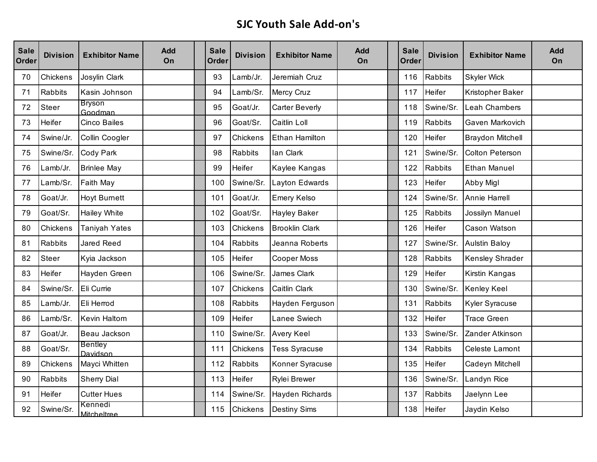## **SJC Youth Sale Add-on's**

| <b>Sale</b><br>Order | <b>Division</b> | <b>Exhibitor Name</b>      | <b>Add</b><br>On | <b>Sale</b><br>Order | <b>Division</b> | <b>Exhibitor Name</b> | <b>Add</b><br>On | <b>Sale</b><br>Order | <b>Division</b> | <b>Exhibitor Name</b>   | <b>Add</b><br>On |
|----------------------|-----------------|----------------------------|------------------|----------------------|-----------------|-----------------------|------------------|----------------------|-----------------|-------------------------|------------------|
| 70                   | Chickens        | Josylin Clark              |                  | 93                   | Lamb/Jr.        | Jeremiah Cruz         |                  | 116                  | Rabbits         | <b>Skyler Wick</b>      |                  |
| 71                   | Rabbits         | Kasin Johnson              |                  | 94                   | Lamb/Sr.        | Mercy Cruz            |                  | 117                  | Heifer          | Kristopher Baker        |                  |
| 72                   | <b>Steer</b>    | Bryson<br>Goodman          |                  | 95                   | Goat/Jr.        | <b>Carter Beverly</b> |                  | 118                  | Swine/Sr.       | <b>Leah Chambers</b>    |                  |
| 73                   | Heifer          | <b>Cinco Bailes</b>        |                  | 96                   | Goat/Sr.        | Caitlin Loll          |                  | 119                  | Rabbits         | Gaven Markovich         |                  |
| 74                   | Swine/Jr.       | Collin Coogler             |                  | 97                   | Chickens        | <b>Ethan Hamilton</b> |                  | 120                  | Heifer          | <b>Braydon Mitchell</b> |                  |
| 75                   | Swine/Sr.       | Cody Park                  |                  | 98                   | Rabbits         | lan Clark             |                  | 121                  | Swine/Sr.       | <b>Colton Peterson</b>  |                  |
| 76                   | Lamb/Jr.        | <b>Brinlee May</b>         |                  | 99                   | Heifer          | Kaylee Kangas         |                  | 122                  | Rabbits         | <b>Ethan Manuel</b>     |                  |
| 77                   | Lamb/Sr.        | Faith May                  |                  | 100                  | Swine/Sr.       | Layton Edwards        |                  | 123                  | Heifer          | Abby Migl               |                  |
| 78                   | Goat/Jr.        | <b>Hoyt Burnett</b>        |                  | 101                  | Goat/Jr.        | <b>Emery Kelso</b>    |                  | 124                  | Swine/Sr.       | Annie Harrell           |                  |
| 79                   | Goat/Sr.        | Hailey White               |                  | 102                  | Goat/Sr.        | <b>Hayley Baker</b>   |                  | 125                  | Rabbits         | Jossilyn Manuel         |                  |
| 80                   | Chickens        | <b>Taniyah Yates</b>       |                  | 103                  | Chickens        | <b>Brooklin Clark</b> |                  | 126                  | Heifer          | Cason Watson            |                  |
| 81                   | Rabbits         | <b>Jared Reed</b>          |                  | 104                  | Rabbits         | Jeanna Roberts        |                  | 127                  | Swine/Sr.       | <b>Aulstin Baloy</b>    |                  |
| 82                   | <b>Steer</b>    | Kyia Jackson               |                  | 105                  | Heifer          | <b>Cooper Moss</b>    |                  | 128                  | Rabbits         | <b>Kensley Shrader</b>  |                  |
| 83                   | Heifer          | Hayden Green               |                  | 106                  | Swine/Sr.       | James Clark           |                  | 129                  | Heifer          | Kirstin Kangas          |                  |
| 84                   | Swine/Sr.       | Eli Currie                 |                  | 107                  | Chickens        | Caitlin Clark         |                  | 130                  | Swine/Sr.       | Kenley Keel             |                  |
| 85                   | Lamb/Jr.        | Eli Herrod                 |                  | 108                  | Rabbits         | Hayden Ferguson       |                  | 131                  | Rabbits         | Kyler Syracuse          |                  |
| 86                   | Lamb/Sr.        | <b>Kevin Haltom</b>        |                  | 109                  | Heifer          | Lanee Swiech          |                  | 132                  | Heifer          | <b>Trace Green</b>      |                  |
| 87                   | Goat/Jr.        | Beau Jackson               |                  | 110                  | Swine/Sr.       | <b>Avery Keel</b>     |                  | 133                  | Swine/Sr.       | Zander Atkinson         |                  |
| 88                   | Goat/Sr.        | <b>Bentley</b><br>Davidson |                  | 111                  | Chickens        | <b>Tess Syracuse</b>  |                  | 134                  | Rabbits         | Celeste Lamont          |                  |
| 89                   | Chickens        | Mayci Whitten              |                  | 112                  | Rabbits         | Konner Syracuse       |                  | 135                  | Heifer          | Cadeyn Mitchell         |                  |
| 90                   | Rabbits         | <b>Sherry Dial</b>         |                  | 113                  | Heifer          | Rylei Brewer          |                  | 136                  | Swine/Sr.       | Landyn Rice             |                  |
| 91                   | Heifer          | <b>Cutter Hues</b>         |                  | 114                  | Swine/Sr.       | Hayden Richards       |                  | 137                  | Rabbits         | Jaelynn Lee             |                  |
| 92                   | Swine/Sr.       | Kennedi<br>Mitcheltree     |                  | 115                  | Chickens        | <b>Destiny Sims</b>   |                  | 138                  | Heifer          | Jaydin Kelso            |                  |